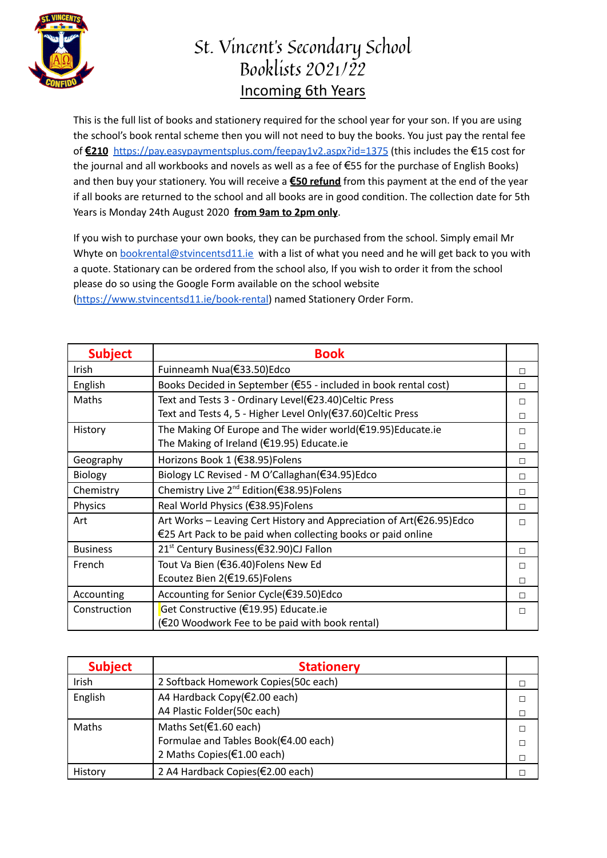

## St. Vincent's Secondary School Booklists 2021/22 Incoming 6th Years

This is the full list of books and stationery required for the school year for your son. If you are using the school's book rental scheme then you will not need to buy the books. You just pay the rental fee of **€210** <https://pay.easypaymentsplus.com/feepay1v2.aspx?id=1375> (this includes the €15 cost for the journal and all workbooks and novels as well as a fee of €55 for the purchase of English Books) and then buy your stationery. You will receive a **€50 refund** from this payment at the end of the year if all books are returned to the school and all books are in good condition. The collection date for 5th Years is Monday 24th August 2020 **from 9am to 2pm only**.

If you wish to purchase your own books, they can be purchased from the school. Simply email Mr Whyte on [bookrental@stvincentsd11.ie](mailto:bookrental@stvincentsd11.ie) with a list of what you need and he will get back to you with a quote. Stationary can be ordered from the school also, If you wish to order it from the school please do so using the Google Form available on the school website [\(https://www.stvincentsd11.ie/book-rental\)](https://www.stvincentsd11.ie/book-rental) named Stationery Order Form.

| <b>Subject</b>  | <b>Book</b>                                                          |   |
|-----------------|----------------------------------------------------------------------|---|
| Irish           | Fuinneamh Nua(€33.50)Edco                                            | П |
| English         | Books Decided in September (€55 - included in book rental cost)      | П |
| Maths           | Text and Tests 3 - Ordinary Level(€23.40)Celtic Press                | П |
|                 | Text and Tests 4, 5 - Higher Level Only(€37.60)Celtic Press          | П |
| History         | The Making Of Europe and The wider world(€19.95)Educate.ie           | П |
|                 | The Making of Ireland (€19.95) Educate.ie                            | П |
| Geography       | Horizons Book 1 (€38.95) Folens                                      | П |
| <b>Biology</b>  | Biology LC Revised - M O'Callaghan(€34.95)Edco                       | П |
| Chemistry       | Chemistry Live 2 <sup>nd</sup> Edition(€38.95)Folens                 | П |
| Physics         | Real World Physics (€38.95)Folens                                    | П |
| Art             | Art Works – Leaving Cert History and Appreciation of Art(€26.95)Edco | П |
|                 | €25 Art Pack to be paid when collecting books or paid online         |   |
| <b>Business</b> | 21 <sup>st</sup> Century Business(€32.90)CJ Fallon                   | П |
| French          | Tout Va Bien (€36.40)Folens New Ed                                   | П |
|                 | Ecoutez Bien 2(€19.65)Folens                                         | П |
| Accounting      | Accounting for Senior Cycle(€39.50)Edco                              | П |
| Construction    | Get Constructive (€19.95) Educate.ie                                 | П |
|                 | (€20 Woodwork Fee to be paid with book rental)                       |   |

| <b>Subject</b> | <b>Stationery</b>                     |  |
|----------------|---------------------------------------|--|
| Irish          | 2 Softback Homework Copies (50c each) |  |
| English        | A4 Hardback Copy(€2.00 each)          |  |
|                | A4 Plastic Folder(50c each)           |  |
| Maths          | Maths Set(€1.60 each)                 |  |
|                | Formulae and Tables Book(€4.00 each)  |  |
|                | 2 Maths Copies(€1.00 each)            |  |
| History        | 2 A4 Hardback Copies(€2.00 each)      |  |